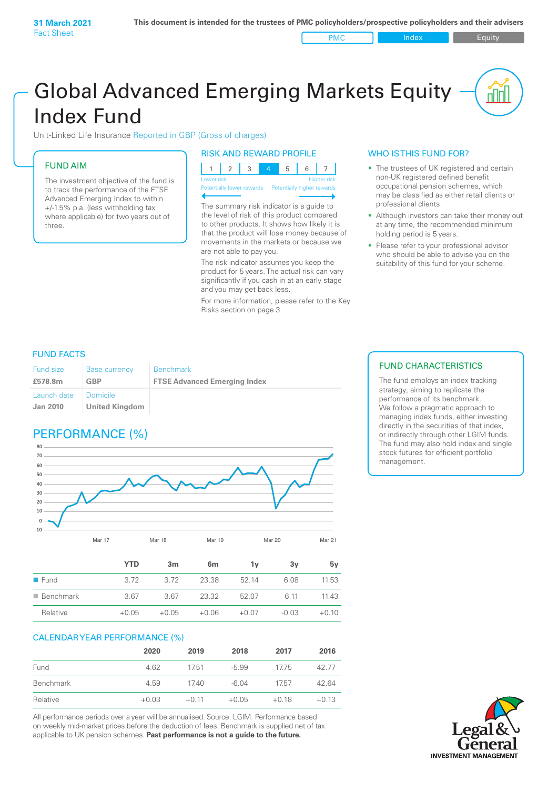PMC Index PMC Equity

# Global Advanced Emerging Markets Equity Index Fund

Unit-Linked Life Insurance Reported in GBP (Gross of charges)

### FUND AIM

The investment objective of the fund is to track the performance of the FTSE Advanced Emerging Index to within +/‑1.5% p.a. (less withholding tax where applicable) for two years out of three.

#### RISK AND REWARD PROFILE

| Lower risk |  |  | <b>Higher risk</b> |
|------------|--|--|--------------------|

**Prially lower rewards** 

The summary risk indicator is a guide to the level of risk of this product compared to other products. It shows how likely it is that the product will lose money because of movements in the markets or because we are not able to pay you.

The risk indicator assumes you keep the product for 5 years. The actual risk can vary significantly if you cash in at an early stage and you may get back less.

For more information, please refer to the Key Risks section on page 3.

## WHO IS THIS FUND FOR?

- The trustees of UK registered and certain non-UK registered defined benefit occupational pension schemes, which may be classified as either retail clients or professional clients.
- Although investors can take their money out at any time, the recommended minimum holding period is 5 years.
- Please refer to your professional advisor who should be able to advise you on the suitability of this fund for your scheme.

#### FUND FACTS

| <b>Fund size</b>               | <b>Base currency</b>                     | <b>Benchmark</b>                    |
|--------------------------------|------------------------------------------|-------------------------------------|
| £578.8m                        | GBP                                      | <b>FTSE Advanced Emerging Index</b> |
| Launch date<br><b>Jan 2010</b> | <b>Domicile</b><br><b>United Kingdom</b> |                                     |

# PERFORMANCE (%)



|                          | <b>YTD</b> | 3 <sub>m</sub> | 6 <sub>m</sub> | 1ν      | 3v      | 5v      |
|--------------------------|------------|----------------|----------------|---------|---------|---------|
| $\blacksquare$ Fund      | 3.72       | 3.72           | 23.38          | 52.14   | 6.08    | 11.53   |
| $\blacksquare$ Benchmark | 3.67       | 3.67           | 23.32          | 52.07   | 6.11    | 11.43   |
| Relative                 | $+0.05$    | $+0.05$        | $+0.06$        | $+0.07$ | $-0.03$ | $+0.10$ |

#### CALENDAR YEAR PERFORMANCE (%)

|           | 2020    | 2019    | 2018    | 2017    | 2016    |
|-----------|---------|---------|---------|---------|---------|
| Fund      | 4.62    | 1751    | $-5.99$ | 1775    | 42 77   |
| Benchmark | 4.59    | 1740    | $-6.04$ | 1757    | 42.64   |
| Relative  | $+0.03$ | $+0.11$ | $+0.05$ | $+0.18$ | $+0.13$ |

All performance periods over a year will be annualised. Source: LGIM. Performance based on weekly mid-market prices before the deduction of fees. Benchmark is supplied net of tax applicable to UK pension schemes. **Past performance is not a guide to the future.**

### FUND CHARACTERISTICS

The fund employs an index tracking strategy, aiming to replicate the performance of its benchmark. We follow a pragmatic approach to managing index funds, either investing directly in the securities of that index, or indirectly through other LGIM funds. The fund may also hold index and single stock futures for efficient portfolio management.

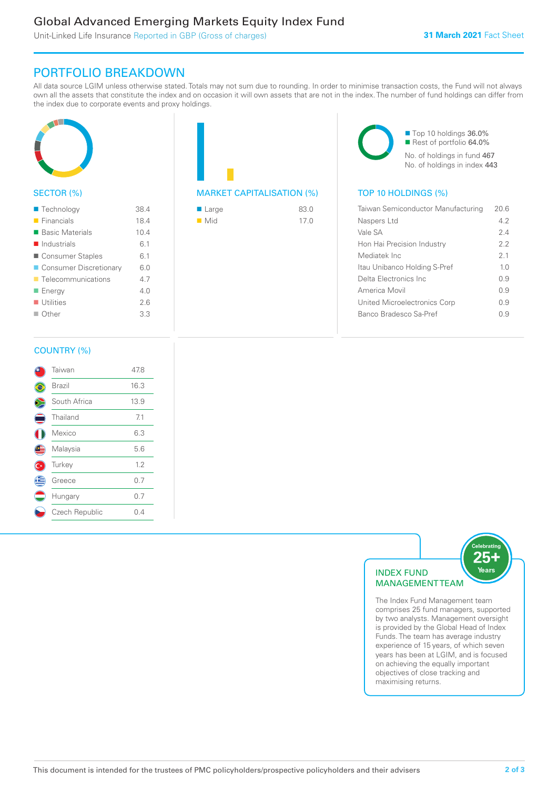# Global Advanced Emerging Markets Equity Index Fund

Unit-Linked Life Insurance Reported in GBP (Gross of charges)

# PORTFOLIO BREAKDOWN

All data source LGIM unless otherwise stated. Totals may not sum due to rounding. In order to minimise transaction costs, the Fund will not always own all the assets that constitute the index and on occasion it will own assets that are not in the index. The number of fund holdings can differ from the index due to corporate events and proxy holdings.



## SECTOR (%)

| ■ Technology               | 38.4 |
|----------------------------|------|
| $\blacksquare$ Financials  | 18.4 |
| ■ Basic Materials          | 10.4 |
| $\blacksquare$ Industrials | 6.1  |
| ■ Consumer Staples         | 6.1  |
| ■ Consumer Discretionary   | 6.0  |
| ■ Telecommunications       | 4.7  |
| ■ Energy                   | 40   |
| $\blacksquare$ Utilities   | 26   |
| $\Box$ Other               | 3.3  |
|                            |      |

| <b>MARKET CAPITALISATION (%)</b> |  |
|----------------------------------|--|

| ■ Large            | 83.0 |
|--------------------|------|
| $\blacksquare$ Mid | 17.0 |

■ Top 10 holdings 36.0% Rest of portfolio 64.0% No. of holdings in fund 467 No. of holdings in index 443

### TOP 10 HOLDINGS (%)

| Taiwan Semiconductor Manufacturing | 20.6           |
|------------------------------------|----------------|
| Naspers Ltd                        | 42             |
| Vale SA                            | 24             |
| Hon Hai Precision Industry         | 22             |
| Mediatek Inc                       | 21             |
| Itau Unibanco Holding S-Pref       | 1 <sub>0</sub> |
| Delta Electronics Inc.             | 09             |
| America Movil                      | 09             |
| United Microelectronics Corp       | 09             |
| Banco Bradesco Sa-Pref             | O 9            |
|                                    |                |

#### COUNTRY (%)

|   | Taiwan         | 47.8 |
|---|----------------|------|
|   | Brazil         | 16.3 |
|   | South Africa   | 13.9 |
|   | Thailand       | 7.1  |
|   | Mexico         | 6.3  |
| Œ | Malaysia       | 5.6  |
|   | Turkey         | 1.2  |
| Ê | Greece         | 0.7  |
|   | Hungary        | 0.7  |
|   | Czech Republic | 0.4  |
|   |                |      |



comprises 25 fund managers, supported by two analysts. Management oversight is provided by the Global Head of Index Funds. The team has average industry experience of 15 years, of which seven years has been at LGIM, and is focused on achieving the equally important objectives of close tracking and maximising returns.